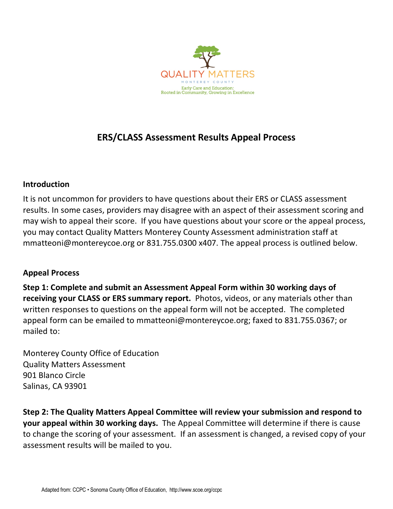

## **ERS/CLASS Assessment Results Appeal Process**

## **Introduction**

It is not uncommon for providers to have questions about their ERS or CLASS assessment results. In some cases, providers may disagree with an aspect of their assessment scoring and may wish to appeal their score. If you have questions about your score or the appeal process, you may contact Quality Matters Monterey County Assessment administration staff at mmatteoni@montereycoe.org or 831.755.0300 x407. The appeal process is outlined below.

## **Appeal Process**

**Step 1: Complete and submit an Assessment Appeal Form within 30 working days of receiving your CLASS or ERS summary report.** Photos, videos, or any materials other than written responses to questions on the appeal form will not be accepted. The completed appeal form can be emailed to mmatteoni@montereycoe.org; faxed to 831.755.0367; or mailed to:

Monterey County Office of Education Quality Matters Assessment 901 Blanco Circle Salinas, CA 93901

**Step 2: The Quality Matters Appeal Committee will review your submission and respond to your appeal within 30 working days.** The Appeal Committee will determine if there is cause to change the scoring of your assessment. If an assessment is changed, a revised copy of your assessment results will be mailed to you.